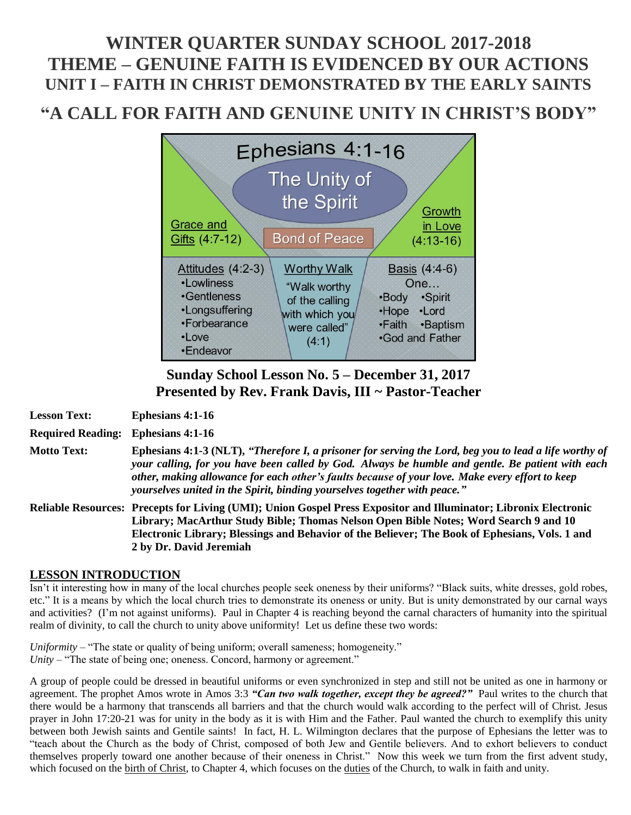# **WINTER QUARTER SUNDAY SCHOOL 2017-2018 THEME – GENUINE FAITH IS EVIDENCED BY OUR ACTIONS UNIT I – FAITH IN CHRIST DEMONSTRATED BY THE EARLY SAINTS**

# **"A CALL FOR FAITH AND GENUINE UNITY IN CHRIST'S BODY"**



# **Sunday School Lesson No. 5 – December 31, 2017 Presented by Rev. Frank Davis, III ~ Pastor-Teacher**

**Lesson Text: Ephesians 4:1-16 Required Reading: Ephesians 4:1-16 Motto Text: Ephesians 4:1-3 (NLT),** *"Therefore I, a prisoner for serving the Lord, beg you to lead a life worthy of your calling, for you have been called by God. Always be humble and gentle. Be patient with each other, making allowance for each other's faults because of your love. Make every effort to keep yourselves united in the Spirit, binding yourselves together with peace."* **Reliable Resources: Precepts for Living (UMI); Union Gospel Press Expositor and Illuminator; Libronix Electronic Library; MacArthur Study Bible; Thomas Nelson Open Bible Notes; Word Search 9 and 10 Electronic Library; Blessings and Behavior of the Believer; The Book of Ephesians, Vols. 1 and 2 by Dr. David Jeremiah**

# **LESSON INTRODUCTION**

Isn't it interesting how in many of the local churches people seek oneness by their uniforms? "Black suits, white dresses, gold robes, etc." It is a means by which the local church tries to demonstrate its oneness or unity. But is unity demonstrated by our carnal ways and activities? (I'm not against uniforms). Paul in Chapter 4 is reaching beyond the carnal characters of humanity into the spiritual realm of divinity, to call the church to unity above uniformity! Let us define these two words:

*Uniformity* – "The state or quality of being uniform; overall sameness; homogeneity." *Unity* – "The state of being one; oneness. Concord, harmony or agreement."

A group of people could be dressed in beautiful uniforms or even synchronized in step and still not be united as one in harmony or agreement. The prophet Amos wrote in Amos 3:3 *"Can two walk together, except they be agreed?"* Paul writes to the church that there would be a harmony that transcends all barriers and that the church would walk according to the perfect will of Christ. Jesus prayer in John 17:20-21 was for unity in the body as it is with Him and the Father. Paul wanted the church to exemplify this unity between both Jewish saints and Gentile saints! In fact, H. L. Wilmington declares that the purpose of Ephesians the letter was to "teach about the Church as the body of Christ, composed of both Jew and Gentile believers. And to exhort believers to conduct themselves properly toward one another because of their oneness in Christ." Now this week we turn from the first advent study, which focused on the birth of Christ, to Chapter 4, which focuses on the duties of the Church, to walk in faith and unity.